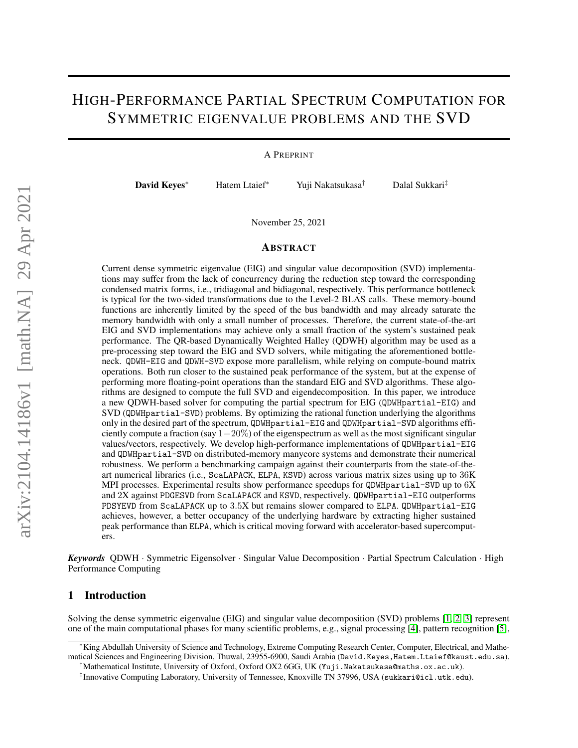# HIGH-PERFORMANCE PARTIAL SPECTRUM COMPUTATION FOR SYMMETRIC EIGENVALUE PROBLEMS AND THE SVD

A PREPRINT

David Keyes<sup>∗</sup> Hatem Ltaief<sup>∗</sup> Yuji Nakatsukasa† Dalal Sukkari‡

November 25, 2021

#### ABSTRACT

Current dense symmetric eigenvalue (EIG) and singular value decomposition (SVD) implementations may suffer from the lack of concurrency during the reduction step toward the corresponding condensed matrix forms, i.e., tridiagonal and bidiagonal, respectively. This performance bottleneck is typical for the two-sided transformations due to the Level-2 BLAS calls. These memory-bound functions are inherently limited by the speed of the bus bandwidth and may already saturate the memory bandwidth with only a small number of processes. Therefore, the current state-of-the-art EIG and SVD implementations may achieve only a small fraction of the system's sustained peak performance. The QR-based Dynamically Weighted Halley (QDWH) algorithm may be used as a pre-processing step toward the EIG and SVD solvers, while mitigating the aforementioned bottleneck. QDWH-EIG and QDWH-SVD expose more parallelism, while relying on compute-bound matrix operations. Both run closer to the sustained peak performance of the system, but at the expense of performing more floating-point operations than the standard EIG and SVD algorithms. These algorithms are designed to compute the full SVD and eigendecomposition. In this paper, we introduce a new QDWH-based solver for computing the partial spectrum for EIG (QDWHpartial-EIG) and SVD (QDWHpartial-SVD) problems. By optimizing the rational function underlying the algorithms only in the desired part of the spectrum, QDWHpartial-EIG and QDWHpartial-SVD algorithms efficiently compute a fraction (say  $1-20\%$ ) of the eigenspectrum as well as the most significant singular values/vectors, respectively. We develop high-performance implementations of QDWHpartial-EIG and QDWHpartial-SVD on distributed-memory manycore systems and demonstrate their numerical robustness. We perform a benchmarking campaign against their counterparts from the state-of-theart numerical libraries (i.e., ScaLAPACK, ELPA, KSVD) across various matrix sizes using up to 36K MPI processes. Experimental results show performance speedups for QDWHpartial-SVD up to 6X and 2X against PDGESVD from ScaLAPACK and KSVD, respectively. QDWHpartial-EIG outperforms PDSYEVD from ScaLAPACK up to 3.5X but remains slower compared to ELPA. QDWHpartial-EIG achieves, however, a better occupancy of the underlying hardware by extracting higher sustained peak performance than ELPA, which is critical moving forward with accelerator-based supercomputers.

*Keywords* QDWH · Symmetric Eigensolver · Singular Value Decomposition · Partial Spectrum Calculation · High Performance Computing

#### 1 Introduction

Solving the dense symmetric eigenvalue (EIG) and singular value decomposition (SVD) problems [\[1,](#page-14-0) [2,](#page-14-1) [3\]](#page-14-2) represent one of the main computational phases for many scientific problems, e.g., signal processing [\[4\]](#page-14-3), pattern recognition [\[5\]](#page-14-4),

<sup>∗</sup>King Abdullah University of Science and Technology, Extreme Computing Research Center, Computer, Electrical, and Mathematical Sciences and Engineering Division, Thuwal, 23955-6900, Saudi Arabia (David.Keyes, Hatem.Ltaief@kaust.edu.sa).

<sup>†</sup>Mathematical Institute, University of Oxford, Oxford OX2 6GG, UK (Yuji.Nakatsukasa@maths.ox.ac.uk).

<sup>‡</sup> Innovative Computing Laboratory, University of Tennessee, Knoxville TN 37996, USA (sukkari@icl.utk.edu).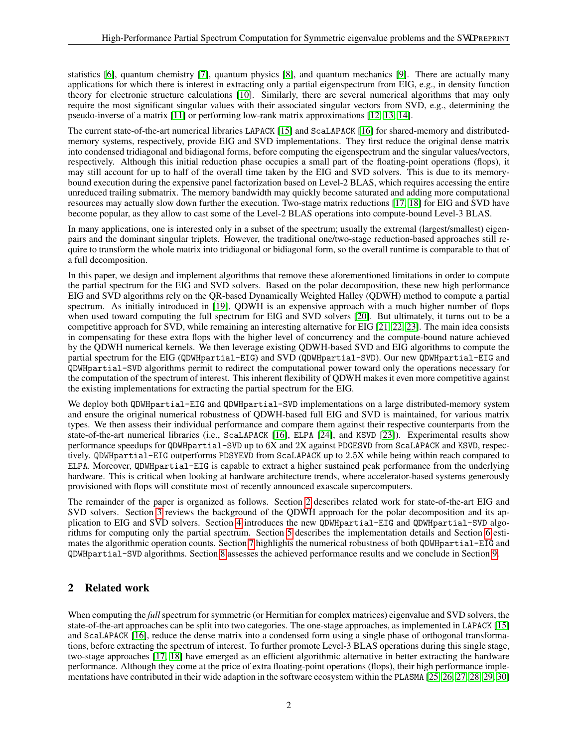statistics [\[6\]](#page-14-5), quantum chemistry [\[7\]](#page-14-6), quantum physics [\[8\]](#page-15-0), and quantum mechanics [\[9\]](#page-15-1). There are actually many applications for which there is interest in extracting only a partial eigenspectrum from EIG, e.g., in density function theory for electronic structure calculations [\[10\]](#page-15-2). Similarly, there are several numerical algorithms that may only require the most significant singular values with their associated singular vectors from SVD, e.g., determining the pseudo-inverse of a matrix [\[11\]](#page-15-3) or performing low-rank matrix approximations [\[12,](#page-15-4) [13,](#page-15-5) [14\]](#page-15-6).

The current state-of-the-art numerical libraries LAPACK [\[15\]](#page-15-7) and ScaLAPACK [\[16\]](#page-15-8) for shared-memory and distributedmemory systems, respectively, provide EIG and SVD implementations. They first reduce the original dense matrix into condensed tridiagonal and bidiagonal forms, before computing the eigenspectrum and the singular values/vectors, respectively. Although this initial reduction phase occupies a small part of the floating-point operations (flops), it may still account for up to half of the overall time taken by the EIG and SVD solvers. This is due to its memorybound execution during the expensive panel factorization based on Level-2 BLAS, which requires accessing the entire unreduced trailing submatrix. The memory bandwidth may quickly become saturated and adding more computational resources may actually slow down further the execution. Two-stage matrix reductions [\[17,](#page-15-9) [18\]](#page-15-10) for EIG and SVD have become popular, as they allow to cast some of the Level-2 BLAS operations into compute-bound Level-3 BLAS.

In many applications, one is interested only in a subset of the spectrum; usually the extremal (largest/smallest) eigenpairs and the dominant singular triplets. However, the traditional one/two-stage reduction-based approaches still require to transform the whole matrix into tridiagonal or bidiagonal form, so the overall runtime is comparable to that of a full decomposition.

In this paper, we design and implement algorithms that remove these aforementioned limitations in order to compute the partial spectrum for the EIG and SVD solvers. Based on the polar decomposition, these new high performance EIG and SVD algorithms rely on the QR-based Dynamically Weighted Halley (QDWH) method to compute a partial spectrum. As initially introduced in [\[19\]](#page-15-11), QDWH is an expensive approach with a much higher number of flops when used toward computing the full spectrum for EIG and SVD solvers [\[20\]](#page-15-12). But ultimately, it turns out to be a competitive approach for SVD, while remaining an interesting alternative for EIG [\[21,](#page-15-13) [22,](#page-15-14) [23\]](#page-15-15). The main idea consists in compensating for these extra flops with the higher level of concurrency and the compute-bound nature achieved by the QDWH numerical kernels. We then leverage existing QDWH-based SVD and EIG algorithms to compute the partial spectrum for the EIG (QDWHpartial-EIG) and SVD (QDWHpartial-SVD). Our new QDWHpartial-EIG and QDWHpartial-SVD algorithms permit to redirect the computational power toward only the operations necessary for the computation of the spectrum of interest. This inherent flexibility of QDWH makes it even more competitive against the existing implementations for extracting the partial spectrum for the EIG.

We deploy both QDWHpartial-EIG and QDWHpartial-SVD implementations on a large distributed-memory system and ensure the original numerical robustness of QDWH-based full EIG and SVD is maintained, for various matrix types. We then assess their individual performance and compare them against their respective counterparts from the state-of-the-art numerical libraries (i.e., ScaLAPACK [\[16\]](#page-15-8), ELPA [\[24\]](#page-15-16), and KSVD [\[23\]](#page-15-15)). Experimental results show performance speedups for QDWHpartial-SVD up to 6X and 2X against PDGESVD from ScaLAPACK and KSVD, respectively. QDWHpartial-EIG outperforms PDSYEVD from ScaLAPACK up to 2.5X while being within reach compared to ELPA. Moreover, QDWHpartial-EIG is capable to extract a higher sustained peak performance from the underlying hardware. This is critical when looking at hardware architecture trends, where accelerator-based systems generously provisioned with flops will constitute most of recently announced exascale supercomputers.

The remainder of the paper is organized as follows. Section [2](#page-1-0) describes related work for state-of-the-art EIG and SVD solvers. Section [3](#page-2-0) reviews the background of the QDWH approach for the polar decomposition and its application to EIG and SVD solvers. Section [4](#page-3-0) introduces the new QDWHpartial-EIG and QDWHpartial-SVD algorithms for computing only the partial spectrum. Section [5](#page-8-0) describes the implementation details and Section [6](#page-9-0) estimates the algorithmic operation counts. Section [7](#page-9-1) highlights the numerical robustness of both QDWHpartial-EIG and QDWHpartial-SVD algorithms. Section [8](#page-11-0) assesses the achieved performance results and we conclude in Section [9.](#page-12-0)

# <span id="page-1-0"></span>2 Related work

When computing the *full* spectrum for symmetric (or Hermitian for complex matrices) eigenvalue and SVD solvers, the state-of-the-art approaches can be split into two categories. The one-stage approaches, as implemented in LAPACK [\[15\]](#page-15-7) and ScaLAPACK [\[16\]](#page-15-8), reduce the dense matrix into a condensed form using a single phase of orthogonal transformations, before extracting the spectrum of interest. To further promote Level-3 BLAS operations during this single stage, two-stage approaches [\[17,](#page-15-9) [18\]](#page-15-10) have emerged as an efficient algorithmic alternative in better extracting the hardware performance. Although they come at the price of extra floating-point operations (flops), their high performance implementations have contributed in their wide adaption in the software ecosystem within the PLASMA [\[25,](#page-15-17) [26,](#page-15-18) [27,](#page-16-0) [28,](#page-16-1) [29,](#page-16-2) [30\]](#page-16-3)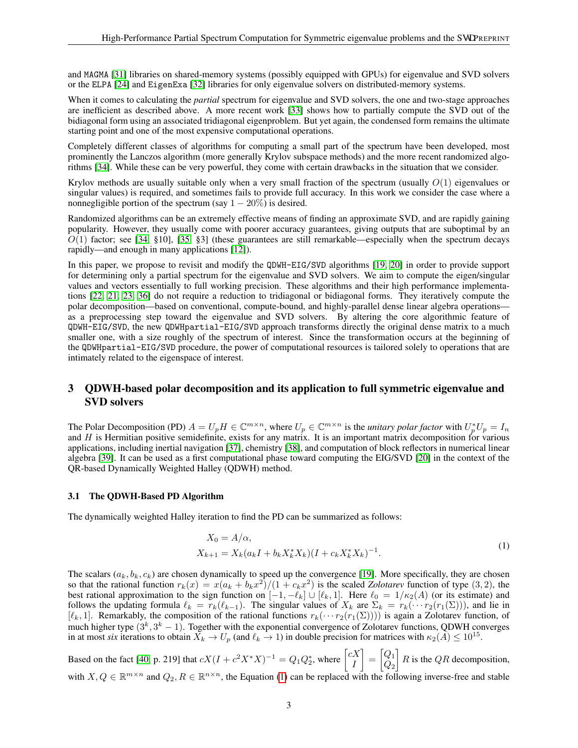and MAGMA [\[31\]](#page-16-4) libraries on shared-memory systems (possibly equipped with GPUs) for eigenvalue and SVD solvers or the ELPA [\[24\]](#page-15-16) and EigenExa [\[32\]](#page-16-5) libraries for only eigenvalue solvers on distributed-memory systems.

When it comes to calculating the *partial* spectrum for eigenvalue and SVD solvers, the one and two-stage approaches are inefficient as described above. A more recent work [\[33\]](#page-16-6) shows how to partially compute the SVD out of the bidiagonal form using an associated tridiagonal eigenproblem. But yet again, the condensed form remains the ultimate starting point and one of the most expensive computational operations.

Completely different classes of algorithms for computing a small part of the spectrum have been developed, most prominently the Lanczos algorithm (more generally Krylov subspace methods) and the more recent randomized algorithms [\[34\]](#page-16-7). While these can be very powerful, they come with certain drawbacks in the situation that we consider.

Krylov methods are usually suitable only when a very small fraction of the spectrum (usually  $O(1)$  eigenvalues or singular values) is required, and sometimes fails to provide full accuracy. In this work we consider the case where a nonnegligible portion of the spectrum (say  $1 - 20\%$ ) is desired.

Randomized algorithms can be an extremely effective means of finding an approximate SVD, and are rapidly gaining popularity. However, they usually come with poorer accuracy guarantees, giving outputs that are suboptimal by an  $O(1)$  factor; see [\[34,](#page-16-7) §10], [\[35,](#page-16-8) §3] (these guarantees are still remarkable—especially when the spectrum decays rapidly—and enough in many applications [\[12\]](#page-15-4)).

In this paper, we propose to revisit and modify the QDWH-EIG/SVD algorithms [\[19,](#page-15-11) [20\]](#page-15-12) in order to provide support for determining only a partial spectrum for the eigenvalue and SVD solvers. We aim to compute the eigen/singular values and vectors essentially to full working precision. These algorithms and their high performance implementations [\[22,](#page-15-14) [21,](#page-15-13) [23,](#page-15-15) [36\]](#page-16-9) do not require a reduction to tridiagonal or bidiagonal forms. They iteratively compute the polar decomposition—based on conventional, compute-bound, and highly-parallel dense linear algebra operations as a preprocessing step toward the eigenvalue and SVD solvers. By altering the core algorithmic feature of QDWH-EIG/SVD, the new QDWHpartial-EIG/SVD approach transforms directly the original dense matrix to a much smaller one, with a size roughly of the spectrum of interest. Since the transformation occurs at the beginning of the QDWHpartial-EIG/SVD procedure, the power of computational resources is tailored solely to operations that are intimately related to the eigenspace of interest.

# <span id="page-2-0"></span>3 QDWH-based polar decomposition and its application to full symmetric eigenvalue and SVD solvers

The Polar Decomposition (PD)  $A = U_p H \in \mathbb{C}^{m \times n}$ , where  $U_p \in \mathbb{C}^{m \times n}$  is the *unitary polar factor* with  $U_p^* U_p = I_n$ and  $H$  is Hermitian positive semidefinite, exists for any matrix. It is an important matrix decomposition for various applications, including inertial navigation [\[37\]](#page-16-10), chemistry [\[38\]](#page-16-11), and computation of block reflectors in numerical linear algebra [\[39\]](#page-16-12). It can be used as a first computational phase toward computing the EIG/SVD [\[20\]](#page-15-12) in the context of the QR-based Dynamically Weighted Halley (QDWH) method.

### 3.1 The QDWH-Based PD Algorithm

The dynamically weighted Halley iteration to find the PD can be summarized as follows:

<span id="page-2-1"></span>
$$
X_0 = A/\alpha,
$$
  
\n
$$
X_{k+1} = X_k (a_k I + b_k X_k^* X_k)(I + c_k X_k^* X_k)^{-1}.
$$
\n(1)

The scalars  $(a_k, b_k, c_k)$  are chosen dynamically to speed up the convergence [\[19\]](#page-15-11). More specifically, they are chosen so that the rational function  $r_k(x) = x(a_k + b_k x^2)/(1 + c_k x^2)$  is the scaled *Zolotarev* function of type (3, 2), the best rational approximation to the sign function on  $[-1, -\ell_k] \cup [\ell_k, 1]$ . Here  $\ell_0 = 1/\kappa_2(A)$  (or its estimate) and follows the updating formula  $\ell_k = r_k(\ell_{k-1})$ . The singular values of  $X_k$  are  $\Sigma_k = r_k(\cdots r_2(r_1(\Sigma)))$ , and lie in  $[\ell_k, 1]$ . Remarkably, the composition of the rational functions  $r_k(\cdots r_2(r_1(\Sigma)))$  is again a Zolotarev function, of much higher type  $(3^k, 3^k - 1)$ . Together with the exponential convergence of Zolotarev functions, QDWH converges in at most *six* iterations to obtain  $X_k \to U_p$  (and  $\ell_k \to 1$ ) in double precision for matrices with  $\kappa_2(A) \le 10^{15}$ .

Based on the fact [\[40,](#page-16-13) p. 219] that  $cX(I + c^2X^*X)^{-1} = Q_1Q_2^*$ , where  $\begin{bmatrix} cX \\ I \end{bmatrix}$ I  $\Big] = \Big[ \begin{matrix} Q_1 \\ 0 \end{matrix} \Big]$  $\overline{Q_2}$  $R$  is the QR decomposition, with  $X, Q \in \mathbb{R}^{m \times n}$  and  $Q_2, R \in \mathbb{R}^{n \times n}$ , the Equation [\(1\)](#page-2-1) can be replaced with the following inverse-free and stable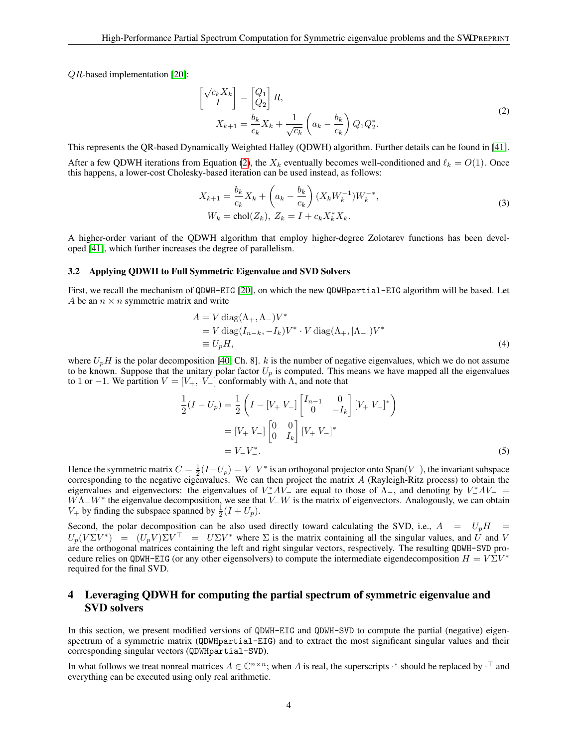QR-based implementation [\[20\]](#page-15-12):

<span id="page-3-1"></span>
$$
\begin{bmatrix}\n\sqrt{c_k}X_k \\
I\n\end{bmatrix} = \begin{bmatrix} Q_1 \\ Q_2 \end{bmatrix} R,
$$
\n
$$
X_{k+1} = \frac{b_k}{c_k}X_k + \frac{1}{\sqrt{c_k}} \left( a_k - \frac{b_k}{c_k} \right) Q_1 Q_2^*.
$$
\n(2)

This represents the QR-based Dynamically Weighted Halley (QDWH) algorithm. Further details can be found in [\[41\]](#page-16-14).

After a few QDWH iterations from Equation [\(2\)](#page-3-1), the  $X_k$  eventually becomes well-conditioned and  $\ell_k = O(1)$ . Once this happens, a lower-cost Cholesky-based iteration can be used instead, as follows:

<span id="page-3-2"></span>
$$
X_{k+1} = \frac{b_k}{c_k} X_k + \left( a_k - \frac{b_k}{c_k} \right) (X_k W_k^{-1}) W_k^{-*},
$$
  
\n
$$
W_k = \text{chol}(Z_k), Z_k = I + c_k X_k^* X_k.
$$
\n(3)

A higher-order variant of the QDWH algorithm that employ higher-degree Zolotarev functions has been developed [\[41\]](#page-16-14), which further increases the degree of parallelism.

#### 3.2 Applying QDWH to Full Symmetric Eigenvalue and SVD Solvers

First, we recall the mechanism of QDWH-EIG [\[20\]](#page-15-12), on which the new QDWHpartial-EIG algorithm will be based. Let A be an  $n \times n$  symmetric matrix and write

$$
A = V \operatorname{diag}(\Lambda_+, \Lambda_-) V^*
$$
  
=  $V \operatorname{diag}(I_{n-k}, -I_k) V^* \cdot V \operatorname{diag}(\Lambda_+, |\Lambda_-|) V^*$   

$$
\equiv U_p H,
$$
 (4)

where  $U_pH$  is the polar decomposition [\[40,](#page-16-13) Ch. 8]. k is the number of negative eigenvalues, which we do not assume to be known. Suppose that the unitary polar factor  $U_p$  is computed. This means we have mapped all the eigenvalues to 1 or −1. We partition  $V = [V_+, V_-]$  conformably with  $\Lambda$ , and note that

$$
\frac{1}{2}(I - U_p) = \frac{1}{2} \left( I - [V_+ V_-] \begin{bmatrix} I_{n-1} & 0 \\ 0 & -I_k \end{bmatrix} [V_+ V_-]^* \right)
$$

$$
= [V_+ V_-] \begin{bmatrix} 0 & 0 \\ 0 & I_k \end{bmatrix} [V_+ V_-]^*
$$

$$
= V_- V_-^*.
$$
(5)

Hence the symmetric matrix  $C = \frac{1}{2}(I-U_p) = V - V_p^*$  is an orthogonal projector onto Span( $V_p$ ), the invariant subspace corresponding to the negative eigenvalues. We can then project the matrix  $\vec{A}$  (Rayleigh-Ritz process) to obtain the eigenvalues and eigenvectors: the eigenvalues of  $V^*_-AV^-$  are equal to those of  $\Lambda_-$ , and denoting by  $V^*_-AV^-$  =  $W\Lambda$ <sub>−</sub> $W^*$  the eigenvalue decomposition, we see that  $V$ <sub>−</sub> $W$  is the matrix of eigenvectors. Analogously, we can obtain  $V_+$  by finding the subspace spanned by  $\frac{1}{2}(I+U_p)$ .

Second, the polar decomposition can be also used directly toward calculating the SVD, i.e.,  $A = U_pH$  =  $U_p(V\Sigma V^*) = (U_p V)\Sigma V^\top = U\Sigma V^*$  where  $\Sigma$  is the matrix containing all the singular values, and U and V are the orthogonal matrices containing the left and right singular vectors, respectively. The resulting QDWH-SVD procedure relies on QDWH-EIG (or any other eigensolvers) to compute the intermediate eigendecomposition  $H = V\Sigma V^*$ required for the final SVD.

# <span id="page-3-0"></span>4 Leveraging QDWH for computing the partial spectrum of symmetric eigenvalue and SVD solvers

In this section, we present modified versions of QDWH-EIG and QDWH-SVD to compute the partial (negative) eigenspectrum of a symmetric matrix (QDWHpartial-EIG) and to extract the most significant singular values and their corresponding singular vectors (QDWHpartial-SVD).

In what follows we treat nonreal matrices  $A \in \mathbb{C}^{n \times n}$ ; when A is real, the superscripts  $\cdot^*$  should be replaced by  $\cdot^{\top}$  and everything can be executed using only real arithmetic.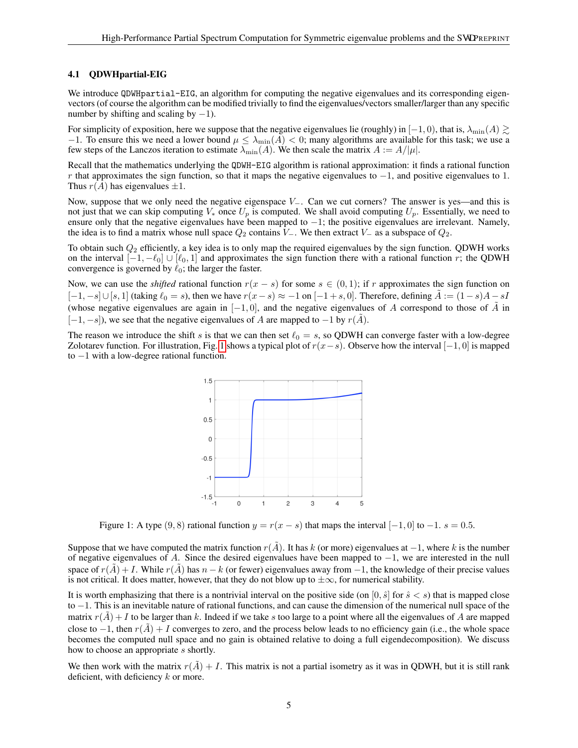#### 4.1 QDWHpartial-EIG

We introduce QDWHpartial-EIG, an algorithm for computing the negative eigenvalues and its corresponding eigenvectors (of course the algorithm can be modified trivially to find the eigenvalues/vectors smaller/larger than any specific number by shifting and scaling by  $-1$ ).

For simplicity of exposition, here we suppose that the negative eigenvalues lie (roughly) in  $[-1, 0)$ , that is,  $\lambda_{\min}(A) \gtrsim$ −1. To ensure this we need a lower bound  $\mu \leq \lambda_{\min}(A) < 0$ ; many algorithms are available for this task; we use a few steps of the Lanczos iteration to estimate  $\lambda_{\min}(A)$ . We then scale the matrix  $A := A/|\mu|$ .

Recall that the mathematics underlying the QDWH-EIG algorithm is rational approximation: it finds a rational function r that approximates the sign function, so that it maps the negative eigenvalues to  $-1$ , and positive eigenvalues to 1. Thus  $r(A)$  has eigenvalues  $\pm 1$ .

Now, suppose that we only need the negative eigenspace  $V_$ . Can we cut corners? The answer is yes—and this is not just that we can skip computing  $V_*$  once  $U_p$  is computed. We shall avoid computing  $U_p$ . Essentially, we need to ensure only that the negative eigenvalues have been mapped to −1; the positive eigenvalues are irrelevant. Namely, the idea is to find a matrix whose null space  $Q_2$  contains V<sub>−</sub>. We then extract V<sub>−</sub> as a subspace of  $Q_2$ .

To obtain such  $Q_2$  efficiently, a key idea is to only map the required eigenvalues by the sign function. QDWH works on the interval  $[-1, -\ell_0] \cup [\ell_0, 1]$  and approximates the sign function there with a rational function r; the QDWH convergence is governed by  $\ell_0$ ; the larger the faster.

Now, we can use the *shifted* rational function  $r(x - s)$  for some  $s \in (0, 1)$ ; if r approximates the sign function on  $[-1, -s] \cup [s, 1]$  (taking  $\ell_0 = s$ ), then we have  $r(x-s) \approx -1$  on  $[-1+s, 0]$ . Therefore, defining  $\tilde{A} := (1-s)A - sI$ (whose negative eigenvalues are again in  $[-1, 0]$ , and the negative eigenvalues of A correspond to those of  $\tilde{A}$  in  $[-1, -s]$ ), we see that the negative eigenvalues of A are mapped to  $-1$  by  $r(A)$ .

The reason we introduce the shift s is that we can then set  $\ell_0 = s$ , so QDWH can converge faster with a low-degree Zolotarev function. For illustration, Fig. [1](#page-4-0) shows a typical plot of  $r(x-s)$ . Observe how the interval [−1, 0] is mapped to −1 with a low-degree rational function.

<span id="page-4-0"></span>

Figure 1: A type  $(9, 8)$  rational function  $y = r(x - s)$  that maps the interval  $[-1, 0]$  to  $-1$ .  $s = 0.5$ .

Suppose that we have computed the matrix function  $r(\tilde{A})$ . It has k (or more) eigenvalues at  $-1$ , where k is the number of negative eigenvalues of A. Since the desired eigenvalues have been mapped to −1, we are interested in the null space of  $r(A) + I$ . While  $r(A)$  has  $n - k$  (or fewer) eigenvalues away from  $-1$ , the knowledge of their precise values is not critical. It does matter, however, that they do not blow up to  $\pm \infty$ , for numerical stability.

It is worth emphasizing that there is a nontrivial interval on the positive side (on  $[0, \hat{s}]$  for  $\hat{s} < s$ ) that is mapped close to −1. This is an inevitable nature of rational functions, and can cause the dimension of the numerical null space of the matrix  $r(A) + I$  to be larger than k. Indeed if we take s too large to a point where all the eigenvalues of A are mapped close to  $-1$ , then  $r(\tilde{A}) + I$  converges to zero, and the process below leads to no efficiency gain (i.e., the whole space becomes the computed null space and no gain is obtained relative to doing a full eigendecomposition). We discuss how to choose an appropriate s shortly.

We then work with the matrix  $r(A) + I$ . This matrix is not a partial isometry as it was in ODWH, but it is still rank deficient, with deficiency  $k$  or more.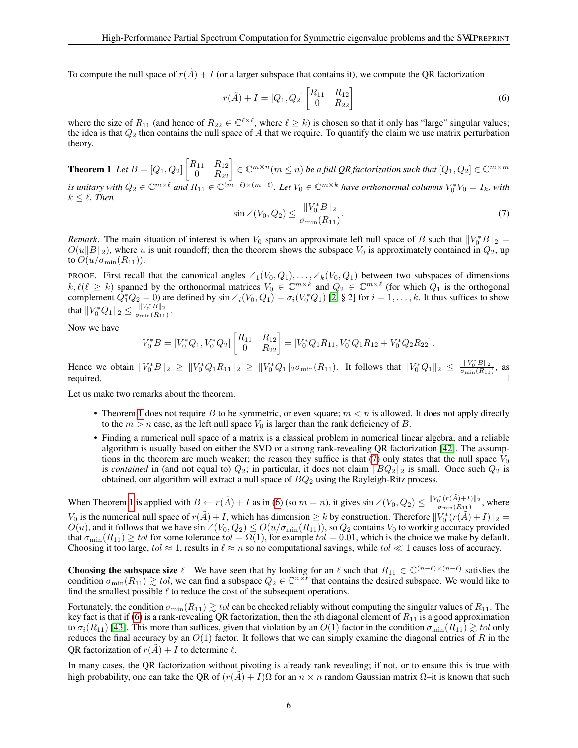To compute the null space of  $r(\tilde{A}) + I$  (or a larger subspace that contains it), we compute the OR factorization

<span id="page-5-2"></span>
$$
r(\tilde{A}) + I = [Q_1, Q_2] \begin{bmatrix} R_{11} & R_{12} \\ 0 & R_{22} \end{bmatrix}
$$
 (6)

<span id="page-5-0"></span>where the size of  $R_{11}$  (and hence of  $R_{22} \in \mathbb{C}^{\ell \times \ell}$ , where  $\ell \geq k$ ) is chosen so that it only has "large" singular values; the idea is that  $Q_2$  then contains the null space of A that we require. To quantify the claim we use matrix perturbation theory.

**Theorem 1** Let 
$$
B = [Q_1, Q_2]
$$
  $\begin{bmatrix} R_{11} & R_{12} \ 0 & R_{22} \end{bmatrix} \in \mathbb{C}^{m \times n} (m \le n)$  be a full QR factorization such that  $[Q_1, Q_2] \in \mathbb{C}^{m \times m}$   
is unitary with  $Q_2 \in \mathbb{C}^{m \times \ell}$  and  $R_{11} \in \mathbb{C}^{(m-\ell) \times (m-\ell)}$ . Let  $V_2 \in \mathbb{C}^{m \times k}$  have orthonormal columns  $V^*V_2 = I_1$ , with

<span id="page-5-1"></span>*is unitary with*  $Q_2 \in \mathbb{C}^{m \times \ell}$  and  $R_{11} \in \mathbb{C}^{(m-\ell) \times (m-\ell)}$ *. Let*  $V_0 \in \mathbb{C}^{m \times k}$  have orthonormal columns  $V_0^* V_0 = I_k$ , with  $k \leq \ell$ . Then

$$
\sin \angle (V_0, Q_2) \le \frac{\|V_0^* B\|_2}{\sigma_{\min}(R_{11})}.
$$
\n(7)

*Remark*. The main situation of interest is when  $V_0$  spans an approximate left null space of B such that  $||V_0^*B||_2 =$  $O(u||B||_2)$ , where u is unit roundoff; then the theorem shows the subspace  $V_0$  is approximately contained in  $Q_2$ , up to  $O(u/\sigma_{\min}(R_{11})).$ 

PROOF. First recall that the canonical angles  $\angle_1(V_0, Q_1), \ldots, \angle_k(V_0, Q_1)$  between two subspaces of dimensions  $k, \ell(\ell \geq k)$  spanned by the orthonormal matrices  $V_0 \in \mathbb{C}^{m \times k}$  and  $Q_2 \in \mathbb{C}^{m \times \ell}$  (for which  $Q_1$  is the orthogonal complement  $\hat{Q}_1^* Q_2 = 0$  are defined by  $\sin \angle_i (V_0, Q_1) = \sigma_i (V_0^* Q_1)$  [\[2,](#page-14-1) § 2] for  $i = 1, \ldots, k$ . It thus suffices to show that  $||V_0^*Q_1||_2 \le \frac{||V_0^*B||_2}{\sigma_{\min}(R_{11})}$ .

Now we have

$$
V_0^* B = [V_0^* Q_1, V_0^* Q_2] \begin{bmatrix} R_{11} & R_{12} \\ 0 & R_{22} \end{bmatrix} = [V_0^* Q_1 R_{11}, V_0^* Q_1 R_{12} + V_0^* Q_2 R_{22}].
$$

Hence we obtain  $||V_0^*B||_2 \ge ||V_0^*Q_1R_{11}||_2 \ge ||V_0^*Q_1||_2 \sigma_{\min}(R_{11})$ . It follows that  $||V_0^*Q_1||_2 \le \frac{||V_0^*B||_2}{\sigma_{\min}(R_{11})}$ , as required.  $\square$ 

Let us make two remarks about the theorem.

- Theorem [1](#page-5-0) does not require B to be symmetric, or even square;  $m < n$  is allowed. It does not apply directly to the  $m > n$  case, as the left null space  $V_0$  is larger than the rank deficiency of B.
- Finding a numerical null space of a matrix is a classical problem in numerical linear algebra, and a reliable algorithm is usually based on either the SVD or a strong rank-revealing QR factorization [\[42\]](#page-16-15). The assumptions in the theorem are much weaker; the reason they suffice is that  $(7)$  only states that the null space  $V_0$ is *contained* in (and not equal to)  $Q_2$ ; in particular, it does not claim  $||BQ_2||_2$  is small. Once such  $Q_2$  is obtained, our algorithm will extract a null space of  $BQ_2$  using the Rayleigh-Ritz process.

When Theorem [1](#page-5-0) is applied with  $B \leftarrow r(\tilde{A}) + I$  as in [\(6\)](#page-5-2) (so  $m = n$ ), it gives  $\sin \angle (V_0, Q_2) \leq \frac{\|V_0^*(r(\tilde{A}) + I)\|_2}{\sigma_{min}(B_1)}$  $\frac{10^{-\frac{(r(A)+T)||2}{\sigma_{\min}(R_{11})}}$ , where  $V_0$  is the numerical null space of  $r(A) + I$ , which has dimension  $\geq k$  by construction. Therefore  $||V_0^*(r(A) + I)||_2 =$  $O(u)$ , and it follows that we have  $\sin \angle (V_0, Q_2) \leq O(u/\sigma_{\min}(R_{11}))$ , so  $Q_2$  contains  $V_0$  to working accuracy provided that  $\sigma_{\min}(R_{11}) \geq tol$  for some tolerance  $tol = \Omega(1)$ , for example  $tol = 0.01$ , which is the choice we make by default. Choosing it too large, tol  $\approx 1$ , results in  $\ell \approx n$  so no computational savings, while tol  $\ll 1$  causes loss of accuracy.

**Choosing the subspace size**  $\ell$  We have seen that by looking for an  $\ell$  such that  $R_{11} \in \mathbb{C}^{(n-\ell)\times (n-\ell)}$  satisfies the condition  $\sigma_{\min}(R_{11}) \gtrsim tol$ , we can find a subspace  $Q_2 \in \mathbb{C}^{n \times \ell}$  that contains the desired subspace. We would like to find the smallest possible  $\ell$  to reduce the cost of the subsequent operations.

Fortunately, the condition  $\sigma_{\min}(R_{11}) \gtrsim tol$  can be checked reliably without computing the singular values of  $R_{11}$ . The key fact is that if [\(6\)](#page-5-2) is a rank-revealing QR factorization, then the *i*th diagonal element of  $R_{11}$  is a good approximation to  $\sigma_i(R_{11})$  [\[43\]](#page-16-16). This more than suffices, given that violation by an  $O(1)$  factor in the condition  $\sigma_{\min}(R_{11}) \gtrsim tol$  only reduces the final accuracy by an  $O(1)$  factor. It follows that we can simply examine the diagonal entries of R in the QR factorization of  $r(A) + I$  to determine  $\ell$ .

In many cases, the QR factorization without pivoting is already rank revealing; if not, or to ensure this is true with high probability, one can take the QR of  $(r(\tilde{A}) + I)\Omega$  for an  $n \times n$  random Gaussian matrix  $\Omega$ –it is known that such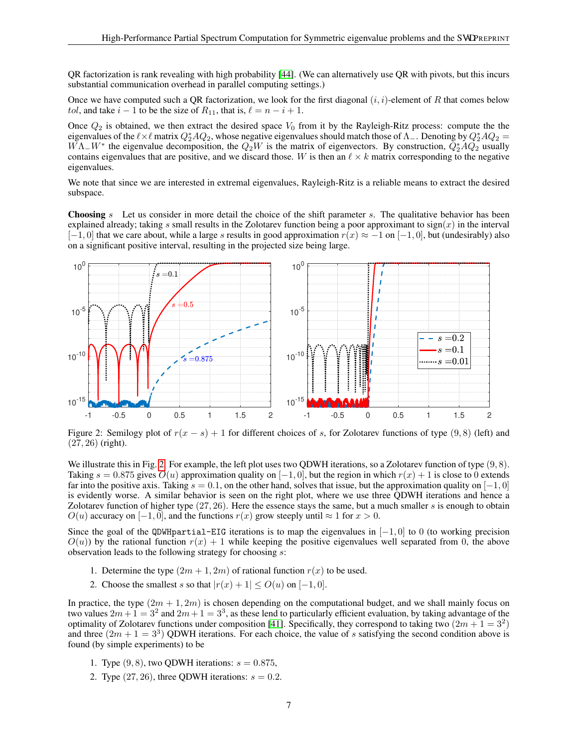QR factorization is rank revealing with high probability [\[44\]](#page-16-17). (We can alternatively use QR with pivots, but this incurs substantial communication overhead in parallel computing settings.)

Once we have computed such a QR factorization, we look for the first diagonal  $(i, i)$ -element of R that comes below *tol*, and take  $i - 1$  to be the size of  $R_{11}$ , that is,  $\ell = n - i + 1$ .

Once  $Q_2$  is obtained, we then extract the desired space  $V_0$  from it by the Rayleigh-Ritz process: compute the the eigenvalues of the  $\ell \times \ell$  matrix  $Q_2^*AQ_2$ , whose negative eigenvalues should match those of  $\Lambda_-$ . Denoting by  $Q_2^*AQ_2 =$  $W\Lambda$ <sub>−</sub> $W^*$  the eigenvalue decomposition, the  $Q_2W$  is the matrix of eigenvectors. By construction,  $\overline{Q_2^*AQ_2^*}$  usually contains eigenvalues that are positive, and we discard those. W is then an  $\ell \times k$  matrix corresponding to the negative eigenvalues.

We note that since we are interested in extremal eigenvalues, Rayleigh-Ritz is a reliable means to extract the desired subspace.

**Choosing** s Let us consider in more detail the choice of the shift parameter s. The qualitative behavior has been explained already; taking s small results in the Zolotarev function being a poor approximant to sign(x) in the interval  $[-1, 0]$  that we care about, while a large s results in good approximation  $r(x) \approx -1$  on  $[-1, 0]$ , but (undesirably) also on a significant positive interval, resulting in the projected size being large.



<span id="page-6-0"></span>Figure 2: Semilogy plot of  $r(x - s) + 1$  for different choices of s, for Zolotarev functions of type (9,8) (left) and  $(27, 26)$  (right).

We illustrate this in Fig. [2.](#page-6-0) For example, the left plot uses two QDWH iterations, so a Zolotarev function of type  $(9, 8)$ . Taking  $s = 0.875$  gives  $O(u)$  approximation quality on  $[-1, 0]$ , but the region in which  $r(x) + 1$  is close to 0 extends far into the positive axis. Taking  $s = 0.1$ , on the other hand, solves that issue, but the approximation quality on [-1, 0] is evidently worse. A similar behavior is seen on the right plot, where we use three QDWH iterations and hence a Zolotarev function of higher type  $(27, 26)$ . Here the essence stays the same, but a much smaller s is enough to obtain  $O(u)$  accuracy on  $[-1, 0]$ , and the functions  $r(x)$  grow steeply until  $\approx 1$  for  $x > 0$ .

Since the goal of the QDWHpartial-EIG iterations is to map the eigenvalues in  $[-1, 0]$  to 0 (to working precision  $O(u)$ ) by the rational function  $r(x) + 1$  while keeping the positive eigenvalues well separated from 0, the above observation leads to the following strategy for choosing s:

- 1. Determine the type  $(2m + 1, 2m)$  of rational function  $r(x)$  to be used.
- 2. Choose the smallest s so that  $|r(x) + 1| \le O(u)$  on  $[-1, 0]$ .

In practice, the type  $(2m + 1, 2m)$  is chosen depending on the computational budget, and we shall mainly focus on two values  $2m+1=3^2$  and  $2m+1=3^3$ , as these lend to particularly efficient evaluation, by taking advantage of the optimality of Zolotarev functions under composition [\[41\]](#page-16-14). Specifically, they correspond to taking two  $(2m + 1 = 3^2)$ and three  $(2m + 1 = 3<sup>3</sup>)$  QDWH iterations. For each choice, the value of s satisfying the second condition above is found (by simple experiments) to be

- 1. Type  $(9, 8)$ , two QDWH iterations:  $s = 0.875$ ,
- 2. Type  $(27, 26)$ , three QDWH iterations:  $s = 0.2$ .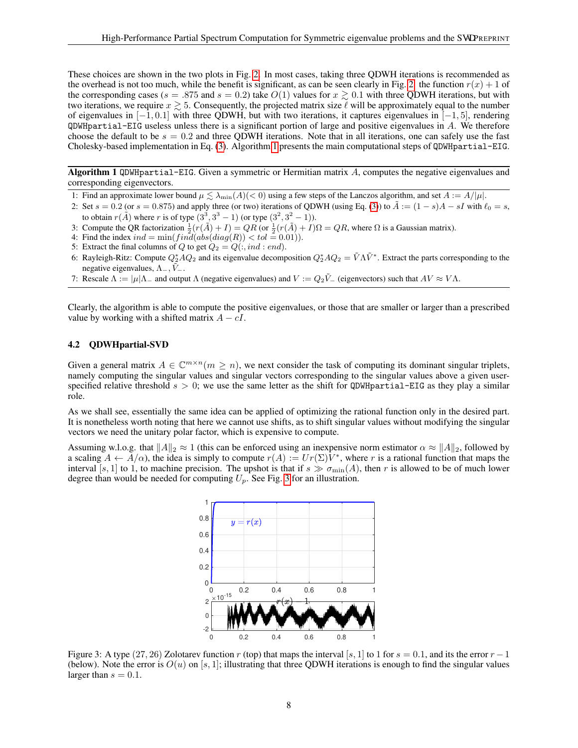These choices are shown in the two plots in Fig. [2.](#page-6-0) In most cases, taking three QDWH iterations is recommended as the overhead is not too much, while the benefit is significant, as can be seen clearly in Fig. [2:](#page-6-0) the function  $r(x) + 1$  of the corresponding cases ( $s = .875$  and  $s = 0.2$ ) take  $O(1)$  values for  $x \gtrsim 0.1$  with three QDWH iterations, but with two iterations, we require  $x \gtrsim 5$ . Consequently, the projected matrix size  $\ell$  will be approximately equal to the number of eigenvalues in  $[-1, 0.1]$  with three QDWH, but with two iterations, it captures eigenvalues in  $[-1, 5]$ , rendering  $QDWH$  partial-EIG useless unless there is a significant portion of large and positive eigenvalues in  $A$ . We therefore choose the default to be  $s = 0.2$  and three QDWH iterations. Note that in all iterations, one can safely use the fast Cholesky-based implementation in Eq. [\(3\)](#page-3-2). Algorithm [1](#page-7-0) presents the main computational steps of QDWHpartial-EIG.

Algorithm 1 QDWHpartial-EIG. Given a symmetric or Hermitian matrix A, computes the negative eigenvalues and corresponding eigenvectors.

- 1: Find an approximate lower bound  $\mu \lesssim \lambda_{\min}(A)(< 0)$  using a few steps of the Lanczos algorithm, and set  $A := A/|\mu|$ .
- 2: Set  $s = 0.2$  (or  $s = 0.875$ ) and apply three (or two) iterations of QDWH (using Eq. [\(3\)](#page-3-2)) to  $\tilde{A} := (1 s)A sI$  with  $\ell_0 = s$ , to obtain  $r(A)$  where r is of type  $(3^3, 3^3 - 1)$  (or type  $(3^2, 3^2 - 1)$ ).
- 3: Compute the QR factorization  $\frac{1}{2}(r(\tilde{A})+I)=QR$  (or  $\frac{1}{2}(r(\tilde{A})+I)\Omega=QR$ , where  $\Omega$  is a Gaussian matrix).
- 4: Find the index  $ind = min(fin\hat{d}(abs(diag(R)) < tol = 0.01)).$
- 5: Extract the final columns of Q to get  $Q_2 = Q(:,ind:end)$ .
- 6: Rayleigh-Ritz: Compute  $Q_2^*AQ_2$  and its eigenvalue decomposition  $Q_2^*AQ_2 = \tilde{V}\Lambda\tilde{V}^*$ . Extract the parts corresponding to the negative eigenvalues,  $\Lambda_-, V_-,$
- <span id="page-7-0"></span>7: Rescale  $\Lambda := |\mu| \Lambda_-$  and output  $\Lambda$  (negative eigenvalues) and  $V := Q_2 \tilde{V}_-$  (eigenvectors) such that  $AV \approx V \Lambda$ .

Clearly, the algorithm is able to compute the positive eigenvalues, or those that are smaller or larger than a prescribed value by working with a shifted matrix  $A - cI$ .

## 4.2 QDWHpartial-SVD

Given a general matrix  $A \in \mathbb{C}^{m \times n}$  ( $m \geq n$ ), we next consider the task of computing its dominant singular triplets, namely computing the singular values and singular vectors corresponding to the singular values above a given userspecified relative threshold  $s > 0$ ; we use the same letter as the shift for QDWHpartial-EIG as they play a similar role.

As we shall see, essentially the same idea can be applied of optimizing the rational function only in the desired part. It is nonetheless worth noting that here we cannot use shifts, as to shift singular values without modifying the singular vectors we need the unitary polar factor, which is expensive to compute.

Assuming w.l.o.g. that  $||A||_2 \approx 1$  (this can be enforced using an inexpensive norm estimator  $\alpha \approx ||A||_2$ , followed by a scaling  $A \leftarrow \overline{A}/\alpha$ , the idea is simply to compute  $r(A) := Ur(\Sigma)\overline{V^*}$ , where r is a rational function that maps the interval [s, 1] to 1, to machine precision. The upshot is that if  $s \gg \sigma_{\min}(A)$ , then r is allowed to be of much lower degree than would be needed for computing  $U_p$ . See Fig. [3](#page-7-1) for an illustration.

<span id="page-7-1"></span>

Figure 3: A type  $(27, 26)$  Zolotarev function r (top) that maps the interval [s, 1] to 1 for  $s = 0.1$ , and its the error  $r - 1$ (below). Note the error is  $O(u)$  on [s, 1]; illustrating that three QDWH iterations is enough to find the singular values larger than  $s = 0.1$ .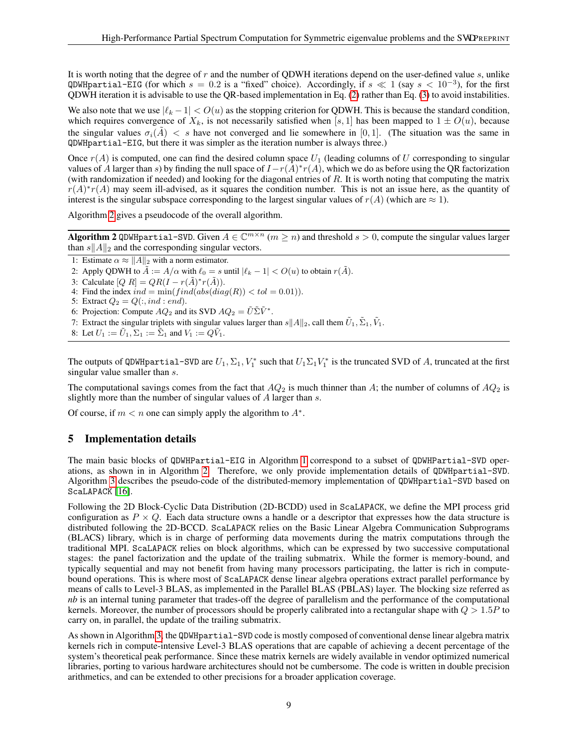It is worth noting that the degree of r and the number of ODWH iterations depend on the user-defined value  $s$ , unlike QDWHpartial-EIG (for which  $s = 0.2$  is a "fixed" choice). Accordingly, if  $s \ll 1$  (say  $s < 10^{-3}$ ), for the first QDWH iteration it is advisable to use the QR-based implementation in Eq.  $(2)$  rather than Eq.  $(3)$  to avoid instabilities.

We also note that we use  $|\ell_k - 1| < O(u)$  as the stopping criterion for QDWH. This is because the standard condition, which requires convergence of  $X_k$ , is not necessarily satisfied when [s, 1] has been mapped to  $1 \pm O(u)$ , because the singular values  $\sigma_i(\tilde{A}) < s$  have not converged and lie somewhere in [0,1]. (The situation was the same in QDWHpartial-EIG, but there it was simpler as the iteration number is always three.)

Once  $r(A)$  is computed, one can find the desired column space  $U_1$  (leading columns of U corresponding to singular values of A larger than s) by finding the null space of  $I-r(A)*r(A)$ , which we do as before using the QR factorization (with randomization if needed) and looking for the diagonal entries of  $R$ . It is worth noting that computing the matrix  $r(A)^*r(A)$  may seem ill-advised, as it squares the condition number. This is not an issue here, as the quantity of interest is the singular subspace corresponding to the largest singular values of  $r(A)$  (which are  $\approx 1$ ).

Algorithm [2](#page-8-1) gives a pseudocode of the overall algorithm.

**Algorithm 2** QDWH partial-SVD. Given  $A \in \mathbb{C}^{m \times n}$   $(m \ge n)$  and threshold  $s > 0$ , compute the singular values larger than  $s||A||_2$  and the corresponding singular vectors.

1: Estimate  $\alpha \approx ||A||_2$  with a norm estimator.

- 2: Apply QDWH to  $\tilde{A} := A/\alpha$  with  $\ell_0 = s$  until  $|\ell_k 1| < O(u)$  to obtain  $r(\tilde{A})$ .
- 3: Calculate  $[Q \ R] = QR(I r(\tilde{A})^*r(\tilde{A})).$

4: Find the index  $ind = min(find(abs(diag(R)) < tol = 0.01)$ .

- 5: Extract  $Q_2 = Q(:,ind:end)$ .
- 6: Projection: Compute  $AQ_2$  and its SVD  $AQ_2 = \tilde{U} \tilde{\Sigma} \tilde{V}^*$ .
- 7: Extract the singular triplets with singular values larger than  $s||A||_2$ , call them  $\tilde{U}_1, \tilde{\Sigma}_1, \tilde{V}_1$ .

```
8: Let U_1 := \tilde{U}_1, \Sigma_1 := \tilde{\Sigma}_1 and V_1 := Q\tilde{V}_1.
```
The outputs of QDWHpartial-SVD are  $U_1, \Sigma_1, V_1^*$  such that  $U_1\Sigma_1V_1^*$  is the truncated SVD of A, truncated at the first singular value smaller than s.

The computational savings comes from the fact that  $AQ_2$  is much thinner than A; the number of columns of  $AQ_2$  is slightly more than the number of singular values of A larger than s.

Of course, if  $m < n$  one can simply apply the algorithm to  $A^*$ .

# <span id="page-8-0"></span>5 Implementation details

The main basic blocks of QDWHPartial-EIG in Algorithm [1](#page-7-0) correspond to a subset of QDWHPartial-SVD operations, as shown in in Algorithm [2.](#page-8-1) Therefore, we only provide implementation details of QDWHpartial-SVD. Algorithm [3](#page-9-2) describes the pseudo-code of the distributed-memory implementation of QDWHpartial-SVD based on ScaLAPACK [\[16\]](#page-15-8).

Following the 2D Block-Cyclic Data Distribution (2D-BCDD) used in ScaLAPACK, we define the MPI process grid configuration as  $P \times Q$ . Each data structure owns a handle or a descriptor that expresses how the data structure is distributed following the 2D-BCCD. ScaLAPACK relies on the Basic Linear Algebra Communication Subprograms (BLACS) library, which is in charge of performing data movements during the matrix computations through the traditional MPI. ScaLAPACK relies on block algorithms, which can be expressed by two successive computational stages: the panel factorization and the update of the trailing submatrix. While the former is memory-bound, and typically sequential and may not benefit from having many processors participating, the latter is rich in computebound operations. This is where most of ScaLAPACK dense linear algebra operations extract parallel performance by means of calls to Level-3 BLAS, as implemented in the Parallel BLAS (PBLAS) layer. The blocking size referred as *nb* is an internal tuning parameter that trades-off the degree of parallelism and the performance of the computational kernels. Moreover, the number of processors should be properly calibrated into a rectangular shape with  $Q > 1.5P$  to carry on, in parallel, the update of the trailing submatrix.

As shown in Algorithm [3,](#page-9-2) the QDWHpartial-SVD code is mostly composed of conventional dense linear algebra matrix kernels rich in compute-intensive Level-3 BLAS operations that are capable of achieving a decent percentage of the system's theoretical peak performance. Since these matrix kernels are widely available in vendor optimized numerical libraries, porting to various hardware architectures should not be cumbersome. The code is written in double precision arithmetics, and can be extended to other precisions for a broader application coverage.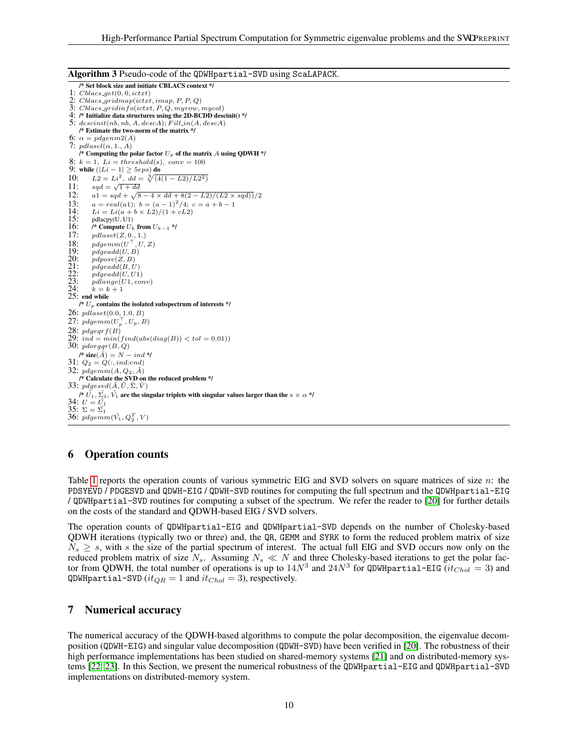Algorithm 3 Pseudo-code of the QDWHpartial-SVD using ScaLAPACK.

/\* Set block size and initiate CBLACS context \*/ 1:  $Chacs.get(0, 0, ictxt)$ 2: Cblacs gridmap(ictxt, imap, P, P, Q)  $3: {\it Cblacs\_gridinfo}(ictxt, P, Q, myrow, mycol)$ 4: /\* Initialize data structures using the 2D-BCDD descinit() \*/ 5:  $descent(nb, nb, A, descA);$   $Fill_in(A, descA)$ /\* Estimate the two-norm of the matrix \*/ 6:  $\alpha = pdgenm2(A)$ 7:  $pdlasc\check{l}(\alpha,1.,\check{A})$ /\* Computing the polar factor  $U_p$  of the matrix A using QDWH \*/ 8:  $k = 1$ ,  $Li = threshold(s)$ ,  $conv = 100$ 9: while  $(|Li - 1| \ge 5eps)$  do <br>10:  $L2 = Li^2$ ,  $dd = \sqrt[3]{4}$ 10:  $L2 = Li^2$ ,  $dd = \sqrt[3]{\sqrt{4(1 - L2)/L2^2}}$ 11:  $sgd = \sqrt{1 + dd}$ 12:  $a1 = sqd + \sqrt{8 - 4 \times dd + 8(2 - L2)/(L2 \times sqd)})/2$ 13:  $a = real(a1); b = (a-1)^2/4; c = a+b-1$ <br>14:  $Li = Li(a+b \times L^2)/(1+cL^2)$ 14:  $Li = Li(a + b \times L2)/(1 + cL2)$ <br>15: pdlacpy(U, U1) 15: pdlacpy(U, U1)<br>16: /\* Compute  $U_k$ 16:  $\int^*$  Compute  $U_k$  from  $U_{k-1}$  \*/<br>17:  $pdlaset(Z, 0., 1.)$ 17:  $pdlaset(Z, 0., 1.)$ <br>18:  $pdgemm(U<sup>T</sup>, U, ...)$ 18:  $pdgemm(U^{\top}, U, Z)$ 19:  $\qquad \qquad pdgeadd(U, B)$ 20:  $pdposv(Z, B)$ <br>
21:  $pdgeadd(B, U)$ <br>
22:  $ndgeadd(U, U)$  $pdgeadd(B, U)$ 22:  $pdgeadd(U, U1)$ <br>23:  $pdlange(U1, co1)$  $pdlange(U1, conv)$ <br> $k = k + 1$ 24:  $k = k + 1$ <br>25: end while /\*  $U_p$  contains the isolated subspectrum of interests \*/ 26:  $pdlaset(0.0, 1.0, B)$ 27:  $pdgemm(U_p^{\top}, U_p, B)$ 28:  $pdgeqrf(B)$ <br>29:  $ind = min(find(abs(diag(B)) < tol = 0.01)$ ) 30: pdorgqr(B, Q)  $\ell^*$  size( $\tilde{A}$ ) =  $N - ind \ell$ 31:  $Q_2 = Q(:,ind:end)$ 32:  $pdgemm(A, Q_2, \tilde{A})$ /\* Calculate the SVD on the reduced problem \*/ 33:  $pdgesvd(\tilde{A}, \tilde{U}, \tilde{\Sigma}, \tilde{V})$ /\*  $\tilde{U_1}$ ,  $\tilde{\Sigma_1}$ ,  $\tilde{V_1}$  are the singular triplets with singular values larger than the  $s\times\alpha$  \*/ 34:  $U = U_1$ 35:  $\Sigma = \tilde{\Sigma_1}$ 36:  $pdgemm(\tilde{V_1}, Q_2^T, V)$ 

## <span id="page-9-2"></span><span id="page-9-0"></span>6 Operation counts

Table [1](#page-10-0) reports the operation counts of various symmetric EIG and SVD solvers on square matrices of size n: the PDSYEVD / PDGESVD and QDWH-EIG / QDWH-SVD routines for computing the full spectrum and the QDWHpartial-EIG / QDWHpartial-SVD routines for computing a subset of the spectrum. We refer the reader to [\[20\]](#page-15-12) for further details on the costs of the standard and QDWH-based EIG / SVD solvers.

The operation counts of QDWHpartial-EIG and QDWHpartial-SVD depends on the number of Cholesky-based QDWH iterations (typically two or three) and, the QR, GEMM and SYRK to form the reduced problem matrix of size  $N_s \geq s$ , with s the size of the partial spectrum of interest. The actual full EIG and SVD occurs now only on the reduced problem matrix of size  $N_s$ . Assuming  $N_s \ll N$  and three Cholesky-based iterations to get the polar factor from QDWH, the total number of operations is up to  $14N^3$  and  $24N^3$  for QDWHpartial-EIG ( $it_{Chol} = 3$ ) and QDWHpartial-SVD ( $it_{QR} = 1$  and  $it_{Chol} = 3$ ), respectively.

# <span id="page-9-1"></span>7 Numerical accuracy

The numerical accuracy of the QDWH-based algorithms to compute the polar decomposition, the eigenvalue decomposition (QDWH-EIG) and singular value decomposition (QDWH-SVD) have been verified in [\[20\]](#page-15-12). The robustness of their high performance implementations has been studied on shared-memory systems [\[21\]](#page-15-13) and on distributed-memory systems [\[22,](#page-15-14) [23\]](#page-15-15). In this Section, we present the numerical robustness of the QDWHpartial-EIG and QDWHpartial-SVD implementations on distributed-memory system.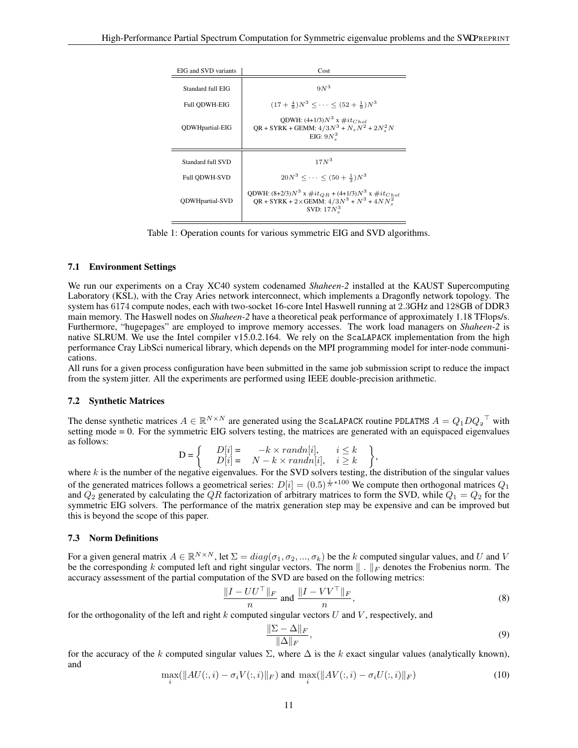| EIG and SVD variants   | Cost                                                                                                                                      |
|------------------------|-------------------------------------------------------------------------------------------------------------------------------------------|
| Standard full EIG      | $9N^3$                                                                                                                                    |
| <b>Full ODWH-EIG</b>   | $(17 + \frac{4}{9})N^3 < \cdots < (52 + \frac{1}{9})N^3$                                                                                  |
| <b>ODWHpartial-EIG</b> | QDWH: $(4+1/3)N^3$ x $\#it_{Chol}$<br>$QR + SYRK + GEMM: 4/3N^3 + N_sN^2 + 2N_s^2N$<br>EIG: $9N_s^3$                                      |
| Standard full SVD      | $17N^3$                                                                                                                                   |
| <b>Full ODWH-SVD</b>   | $20N^3 < \cdots < (50 + \frac{1}{2})N^3$                                                                                                  |
| <b>ODWHpartial-SVD</b> | QDWH: $(8+2/3)N^3$ x $\#it_{QR}$ + $(4+1/3)N^3$ x $\#it_{Chol}$<br>$QR + SYRK + 2 \times GEMM$ : $4/3N^3 + N^3 + 4NN_s^2$<br>SVD: $17Ns3$ |

Table 1: Operation counts for various symmetric EIG and SVD algorithms.

#### <span id="page-10-0"></span>7.1 Environment Settings

t

We run our experiments on a Cray XC40 system codenamed *Shaheen-2* installed at the KAUST Supercomputing Laboratory (KSL), with the Cray Aries network interconnect, which implements a Dragonfly network topology. The system has 6174 compute nodes, each with two-socket 16-core Intel Haswell running at 2.3GHz and 128GB of DDR3 main memory. The Haswell nodes on *Shaheen-2* have a theoretical peak performance of approximately 1.18 TFlops/s. Furthermore, "hugepages" are employed to improve memory accesses. The work load managers on *Shaheen-2* is native SLRUM. We use the Intel compiler v15.0.2.164. We rely on the ScaLAPACK implementation from the high performance Cray LibSci numerical library, which depends on the MPI programming model for inter-node communications.

All runs for a given process configuration have been submitted in the same job submission script to reduce the impact from the system jitter. All the experiments are performed using IEEE double-precision arithmetic.

#### 7.2 Synthetic Matrices

The dense synthetic matrices  $A \in \mathbb{R}^{N \times N}$  are generated using the ScaLAPACK routine PDLATMS  $A = Q_1 D Q_2^{\top}$  with setting mode = 0. For the symmetric EIG solvers testing, the matrices are generated with an equispaced eigenvalues as follows:

$$
D = \begin{cases} D[i] = -k \times randn[i], & i \leq k \\ D[i] = N - k \times randn[i], & i \geq k \end{cases},
$$

where  $k$  is the number of the negative eigenvalues. For the SVD solvers testing, the distribution of the singular values of the generated matrices follows a geometrical series:  $D[i] = (0.5)^{\frac{i}{N} \times 100}$  We compute then orthogonal matrices  $Q_1$ and  $Q_2$  generated by calculating the QR factorization of arbitrary matrices to form the SVD, while  $Q_1 = Q_2$  for the symmetric EIG solvers. The performance of the matrix generation step may be expensive and can be improved but this is beyond the scope of this paper.

#### 7.3 Norm Definitions

For a given general matrix  $A \in \mathbb{R}^{N \times N}$ , let  $\Sigma = diag(\sigma_1, \sigma_2, ..., \sigma_k)$  be the k computed singular values, and U and V be the corresponding k computed left and right singular vectors. The norm  $\|\cdot\|_F$  denotes the Frobenius norm. The accuracy assessment of the partial computation of the SVD are based on the following metrics:

$$
\frac{\|I - UU^{\top}\|_F}{n} \text{ and } \frac{\|I - VV^{\top}\|_F}{n},\tag{8}
$$

for the orthogonality of the left and right k computed singular vectors  $U$  and  $V$ , respectively, and

<span id="page-10-2"></span><span id="page-10-1"></span>
$$
\frac{\|\Sigma - \Delta\|_F}{\|\Delta\|_F},\tag{9}
$$

<span id="page-10-3"></span>for the accuracy of the k computed singular values  $\Sigma$ , where  $\Delta$  is the k exact singular values (analytically known), and

$$
\max_{i}(\|AU(:,i) - \sigma_i V(:,i)\|_F) \text{ and } \max_{i}(\|AV(:,i) - \sigma_i U(:,i)\|_F) \tag{10}
$$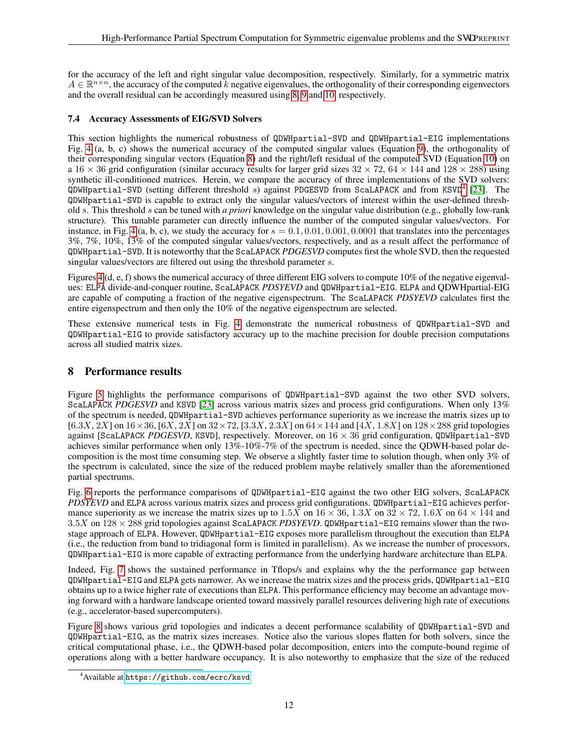for the accuracy of the left and right singular value decomposition, respectively. Similarly, for a symmetric matrix  $A \in \mathbb{R}^{n \times n}$ , the accuracy of the computed k negative eigenvalues, the orthogonality of their corresponding eigenvectors and the overall residual can be accordingly measured using [8,](#page-10-1) [9](#page-10-2) and [10,](#page-10-3) respectively.

# 7.4 Accuracy Assessments of EIG/SVD Solvers

This section highlights the numerical robustness of QDWHpartial-SVD and QDWHpartial-EIG implementations Fig. [4](#page-12-1) (a, b, c) shows the numerical accuracy of the computed singular values (Equation [9\)](#page-10-2), the orthogonality of their corresponding singular vectors (Equation [8\)](#page-10-1) and the right/left residual of the computed SVD (Equation [10\)](#page-10-3) on a 16  $\times$  36 grid configuration (similar accuracy results for larger grid sizes 32  $\times$  72, 64  $\times$  144 and 128  $\times$  288) using synthetic ill-conditioned matrices. Herein, we compare the accuracy of three implementations of the SVD solvers:  $QDWH$ partial-SVD (setting different threshold s) against PDGESVD from ScaLAPACK and from KSVD<sup>[4](#page-11-1)</sup> [\[23\]](#page-15-15). The QDWHpartial-SVD is capable to extract only the singular values/vectors of interest within the user-defined threshold s. This threshold s can be tuned with *a priori* knowledge on the singular value distribution (e.g., globally low-rank structure). This tunable parameter can directly influence the number of the computed singular values/vectors. For instance, in Fig. [4](#page-12-1) (a, b, c), we study the accuracy for  $s = 0.1, 0.01, 0.001, 0.0001$  that translates into the percentages 3%, 7%, 10%, 13% of the computed singular values/vectors, respectively, and as a result affect the performance of QDWHpartial-SVD. It is noteworthy that the ScaLAPACK *PDGESVD* computes first the whole SVD, then the requested singular values/vectors are filtered out using the threshold parameter s.

Figures [4](#page-12-1) (d, e, f) shows the numerical accuracy of three different EIG solvers to compute 10% of the negative eigenvalues: ELPA divide-and-conquer routine, ScaLAPACK *PDSYEVD* and QDWHpartial-EIG. ELPA and QDWHpartial-EIG are capable of computing a fraction of the negative eigenspectrum. The ScaLAPACK *PDSYEVD* calculates first the entire eigenspectrum and then only the 10% of the negative eigenspectrum are selected.

These extensive numerical tests in Fig. [4](#page-12-1) demonstrate the numerical robustness of QDWHpartial-SVD and QDWHpartial-EIG to provide satisfactory accuracy up to the machine precision for double precision computations across all studied matrix sizes.

# <span id="page-11-0"></span>8 Performance results

Figure [5](#page-13-0) highlights the performance comparisons of QDWHpartial-SVD against the two other SVD solvers, ScaLAPACK *PDGESVD* and KSVD [\[23\]](#page-15-15) across various matrix sizes and process grid configurations. When only 13% of the spectrum is needed, QDWHpartial-SVD achieves performance superiority as we increase the matrix sizes up to  $[6.3X, 2X]$  on  $16 \times 36$ ,  $[6X, 2X]$  on  $32 \times 72$ ,  $[3.3X, 2.3X]$  on  $64 \times 144$  and  $[4X, 1.8X]$  on  $128 \times 288$  grid topologies against [ScaLAPACK *PDGESVD*, KSVD], respectively. Moreover, on 16 × 36 grid configuration, QDWHpartial-SVD achieves similar performance when only 13%-10%-7% of the spectrum is needed, since the QDWH-based polar decomposition is the most time consuming step. We observe a slightly faster time to solution though, when only 3% of the spectrum is calculated, since the size of the reduced problem maybe relatively smaller than the aforementioned partial spectrums.

Fig. [6](#page-13-1) reports the performance comparisons of QDWHpartial-EIG against the two other EIG solvers, ScaLAPACK *PDSYEVD* and ELPA across various matrix sizes and process grid configurations. QDWHpartial-EIG achieves performance superiority as we increase the matrix sizes up to  $1.5X$  on  $16 \times 36$ ,  $1.3X$  on  $32 \times 72$ ,  $1.6X$  on  $64 \times 144$  and 3.5X on 128 × 288 grid topologies against ScaLAPACK *PDSYEVD*. QDWHpartial-EIG remains slower than the twostage approach of ELPA. However, QDWHpartial-EIG exposes more parallelism throughout the execution than ELPA (i.e., the reduction from band to tridiagonal form is limited in parallelism). As we increase the number of processors, QDWHpartial-EIG is more capable of extracting performance from the underlying hardware architecture than ELPA.

Indeed, Fig. [7](#page-14-7) shows the sustained performance in Tflops/s and explains why the the performance gap between QDWHpartial-EIG and ELPA gets narrower. As we increase the matrix sizes and the process grids, QDWHpartial-EIG obtains up to a twice higher rate of executions than ELPA. This performance efficiency may become an advantage moving forward with a hardware landscape oriented toward massively parallel resources delivering high rate of executions (e.g., accelerator-based supercomputers).

Figure [8](#page-14-8) shows various grid topologies and indicates a decent performance scalability of QDWHpartial-SVD and QDWHpartial-EIG, as the matrix sizes increases. Notice also the various slopes flatten for both solvers, since the critical computational phase, i.e., the QDWH-based polar decomposition, enters into the compute-bound regime of operations along with a better hardware occupancy. It is also noteworthy to emphasize that the size of the reduced

<span id="page-11-1"></span><sup>4</sup>Available at <https://github.com/ecrc/ksvd>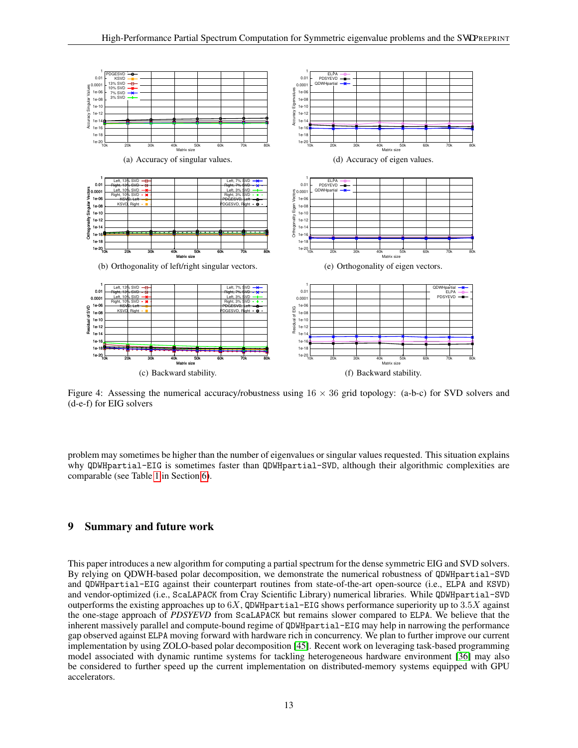<span id="page-12-1"></span>

Figure 4: Assessing the numerical accuracy/robustness using  $16 \times 36$  grid topology: (a-b-c) for SVD solvers and (d-e-f) for EIG solvers

problem may sometimes be higher than the number of eigenvalues or singular values requested. This situation explains why QDWHpartial-EIG is sometimes faster than QDWHpartial-SVD, although their algorithmic complexities are comparable (see Table [1](#page-10-0) in Section [6\)](#page-9-0).

# <span id="page-12-0"></span>9 Summary and future work

This paper introduces a new algorithm for computing a partial spectrum for the dense symmetric EIG and SVD solvers. By relying on QDWH-based polar decomposition, we demonstrate the numerical robustness of QDWHpartial-SVD and QDWHpartial-EIG against their counterpart routines from state-of-the-art open-source (i.e., ELPA and KSVD) and vendor-optimized (i.e., ScaLAPACK from Cray Scientific Library) numerical libraries. While QDWHpartial-SVD outperforms the existing approaches up to  $6X$ , QDWHpartial-EIG shows performance superiority up to  $3.5X$  against the one-stage approach of *PDSYEVD* from ScaLAPACK but remains slower compared to ELPA. We believe that the inherent massively parallel and compute-bound regime of QDWHpartial-EIG may help in narrowing the performance gap observed against ELPA moving forward with hardware rich in concurrency. We plan to further improve our current implementation by using ZOLO-based polar decomposition [\[45\]](#page-16-18). Recent work on leveraging task-based programming model associated with dynamic runtime systems for tackling heterogeneous hardware environment [\[36\]](#page-16-9) may also be considered to further speed up the current implementation on distributed-memory systems equipped with GPU accelerators.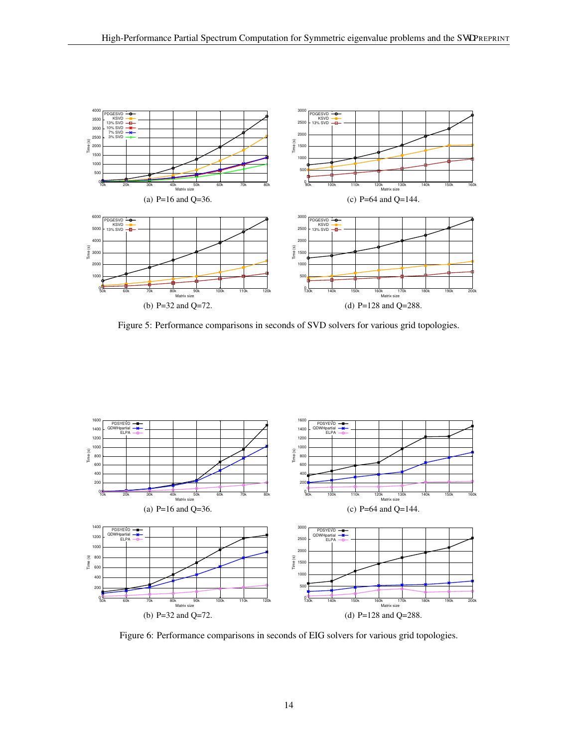

<span id="page-13-0"></span>Figure 5: Performance comparisons in seconds of SVD solvers for various grid topologies.



<span id="page-13-1"></span>Figure 6: Performance comparisons in seconds of EIG solvers for various grid topologies.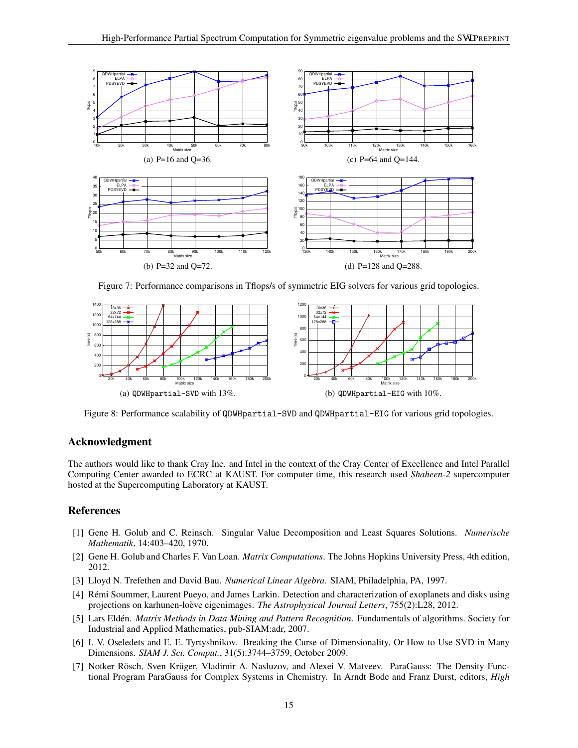

<span id="page-14-8"></span><span id="page-14-7"></span>Figure 7: Performance comparisons in Tflops/s of symmetric EIG solvers for various grid topologies.



Figure 8: Performance scalability of QDWHpartial-SVD and QDWHpartial-EIG for various grid topologies.

# Acknowledgment

The authors would like to thank Cray Inc. and Intel in the context of the Cray Center of Excellence and Intel Parallel Computing Center awarded to ECRC at KAUST. For computer time, this research used *Shaheen-2* supercomputer hosted at the Supercomputing Laboratory at KAUST.

## References

- <span id="page-14-0"></span>[1] Gene H. Golub and C. Reinsch. Singular Value Decomposition and Least Squares Solutions. *Numerische Mathematik*, 14:403–420, 1970.
- <span id="page-14-1"></span>[2] Gene H. Golub and Charles F. Van Loan. *Matrix Computations*. The Johns Hopkins University Press, 4th edition, 2012.
- <span id="page-14-2"></span>[3] Lloyd N. Trefethen and David Bau. *Numerical Linear Algebra*. SIAM, Philadelphia, PA, 1997.
- <span id="page-14-3"></span>[4] Remi Soummer, Laurent Pueyo, and James Larkin. Detection and characterization of exoplanets and disks using ´ projections on karhunen-loève eigenimages. The Astrophysical Journal Letters, 755(2):L28, 2012.
- <span id="page-14-4"></span>[5] Lars Eldén. *Matrix Methods in Data Mining and Pattern Recognition*. Fundamentals of algorithms. Society for Industrial and Applied Mathematics, pub-SIAM:adr, 2007.
- <span id="page-14-5"></span>[6] I. V. Oseledets and E. E. Tyrtyshnikov. Breaking the Curse of Dimensionality, Or How to Use SVD in Many Dimensions. *SIAM J. Sci. Comput.*, 31(5):3744–3759, October 2009.
- <span id="page-14-6"></span>[7] Notker Rösch, Sven Krüger, Vladimir A. Nasluzov, and Alexei V. Matveev. ParaGauss: The Density Functional Program ParaGauss for Complex Systems in Chemistry. In Arndt Bode and Franz Durst, editors, *High*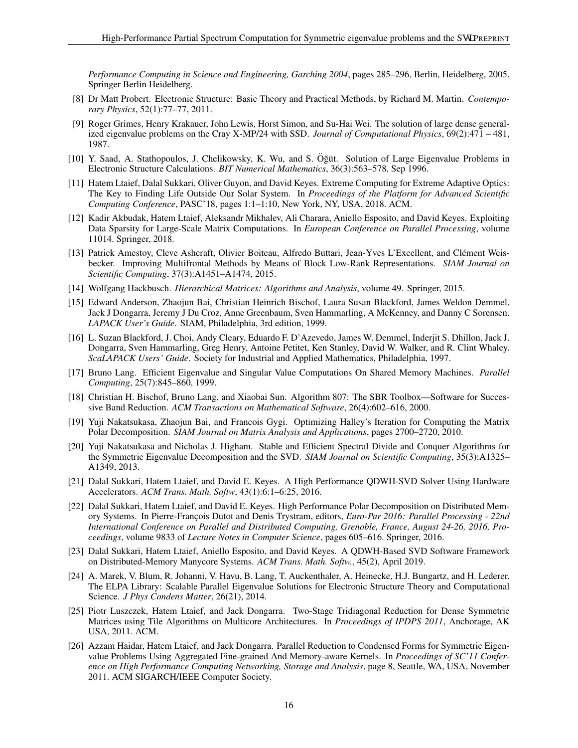*Performance Computing in Science and Engineering, Garching 2004*, pages 285–296, Berlin, Heidelberg, 2005. Springer Berlin Heidelberg.

- <span id="page-15-0"></span>[8] Dr Matt Probert. Electronic Structure: Basic Theory and Practical Methods, by Richard M. Martin. *Contemporary Physics*, 52(1):77–77, 2011.
- <span id="page-15-1"></span>[9] Roger Grimes, Henry Krakauer, John Lewis, Horst Simon, and Su-Hai Wei. The solution of large dense generalized eigenvalue problems on the Cray X-MP/24 with SSD. *Journal of Computational Physics*, 69(2):471 – 481, 1987.
- <span id="page-15-2"></span>[10] Y. Saad, A. Stathopoulos, J. Chelikowsky, K. Wu, and S. Öğüt. Solution of Large Eigenvalue Problems in Electronic Structure Calculations. *BIT Numerical Mathematics*, 36(3):563–578, Sep 1996.
- <span id="page-15-3"></span>[11] Hatem Ltaief, Dalal Sukkari, Oliver Guyon, and David Keyes. Extreme Computing for Extreme Adaptive Optics: The Key to Finding Life Outside Our Solar System. In *Proceedings of the Platform for Advanced Scientific Computing Conference*, PASC'18, pages 1:1–1:10, New York, NY, USA, 2018. ACM.
- <span id="page-15-4"></span>[12] Kadir Akbudak, Hatem Ltaief, Aleksandr Mikhalev, Ali Charara, Aniello Esposito, and David Keyes. Exploiting Data Sparsity for Large-Scale Matrix Computations. In *European Conference on Parallel Processing*, volume 11014. Springer, 2018.
- <span id="page-15-5"></span>[13] Patrick Amestoy, Cleve Ashcraft, Olivier Boiteau, Alfredo Buttari, Jean-Yves L'Excellent, and Clément Weisbecker. Improving Multifrontal Methods by Means of Block Low-Rank Representations. *SIAM Journal on Scientific Computing*, 37(3):A1451–A1474, 2015.
- <span id="page-15-6"></span>[14] Wolfgang Hackbusch. *Hierarchical Matrices: Algorithms and Analysis*, volume 49. Springer, 2015.
- <span id="page-15-7"></span>[15] Edward Anderson, Zhaojun Bai, Christian Heinrich Bischof, Laura Susan Blackford, James Weldon Demmel, Jack J Dongarra, Jeremy J Du Croz, Anne Greenbaum, Sven Hammarling, A McKenney, and Danny C Sorensen. *LAPACK User's Guide*. SIAM, Philadelphia, 3rd edition, 1999.
- <span id="page-15-8"></span>[16] L. Suzan Blackford, J. Choi, Andy Cleary, Eduardo F. D'Azevedo, James W. Demmel, Inderjit S. Dhillon, Jack J. Dongarra, Sven Hammarling, Greg Henry, Antoine Petitet, Ken Stanley, David W. Walker, and R. Clint Whaley. *ScaLAPACK Users' Guide*. Society for Industrial and Applied Mathematics, Philadelphia, 1997.
- <span id="page-15-9"></span>[17] Bruno Lang. Efficient Eigenvalue and Singular Value Computations On Shared Memory Machines. *Parallel Computing*, 25(7):845–860, 1999.
- <span id="page-15-10"></span>[18] Christian H. Bischof, Bruno Lang, and Xiaobai Sun. Algorithm 807: The SBR Toolbox—Software for Successive Band Reduction. *ACM Transactions on Mathematical Software*, 26(4):602–616, 2000.
- <span id="page-15-11"></span>[19] Yuji Nakatsukasa, Zhaojun Bai, and Francois Gygi. Optimizing Halley's Iteration for Computing the Matrix Polar Decomposition. *SIAM Journal on Matrix Analysis and Applications*, pages 2700–2720, 2010.
- <span id="page-15-12"></span>[20] Yuji Nakatsukasa and Nicholas J. Higham. Stable and Efficient Spectral Divide and Conquer Algorithms for the Symmetric Eigenvalue Decomposition and the SVD. *SIAM Journal on Scientific Computing*, 35(3):A1325– A1349, 2013.
- <span id="page-15-13"></span>[21] Dalal Sukkari, Hatem Ltaief, and David E. Keyes. A High Performance QDWH-SVD Solver Using Hardware Accelerators. *ACM Trans. Math. Softw*, 43(1):6:1–6:25, 2016.
- <span id="page-15-14"></span>[22] Dalal Sukkari, Hatem Ltaief, and David E. Keyes. High Performance Polar Decomposition on Distributed Memory Systems. In Pierre-Francois Dutot and Denis Trystram, editors, *Euro-Par 2016: Parallel Processing - 22nd International Conference on Parallel and Distributed Computing, Grenoble, France, August 24-26, 2016, Proceedings*, volume 9833 of *Lecture Notes in Computer Science*, pages 605–616. Springer, 2016.
- <span id="page-15-15"></span>[23] Dalal Sukkari, Hatem Ltaief, Aniello Esposito, and David Keyes. A QDWH-Based SVD Software Framework on Distributed-Memory Manycore Systems. *ACM Trans. Math. Softw.*, 45(2), April 2019.
- <span id="page-15-16"></span>[24] A. Marek, V. Blum, R. Johanni, V. Havu, B. Lang, T. Auckenthaler, A. Heinecke, H.J. Bungartz, and H. Lederer. The ELPA Library: Scalable Parallel Eigenvalue Solutions for Electronic Structure Theory and Computational Science. *J Phys Condens Matter*, 26(21), 2014.
- <span id="page-15-17"></span>[25] Piotr Luszczek, Hatem Ltaief, and Jack Dongarra. Two-Stage Tridiagonal Reduction for Dense Symmetric Matrices using Tile Algorithms on Multicore Architectures. In *Proceedings of IPDPS 2011*, Anchorage, AK USA, 2011. ACM.
- <span id="page-15-18"></span>[26] Azzam Haidar, Hatem Ltaief, and Jack Dongarra. Parallel Reduction to Condensed Forms for Symmetric Eigenvalue Problems Using Aggregated Fine-grained And Memory-aware Kernels. In *Proceedings of SC'11 Conference on High Performance Computing Networking, Storage and Analysis*, page 8, Seattle, WA, USA, November 2011. ACM SIGARCH/IEEE Computer Society.